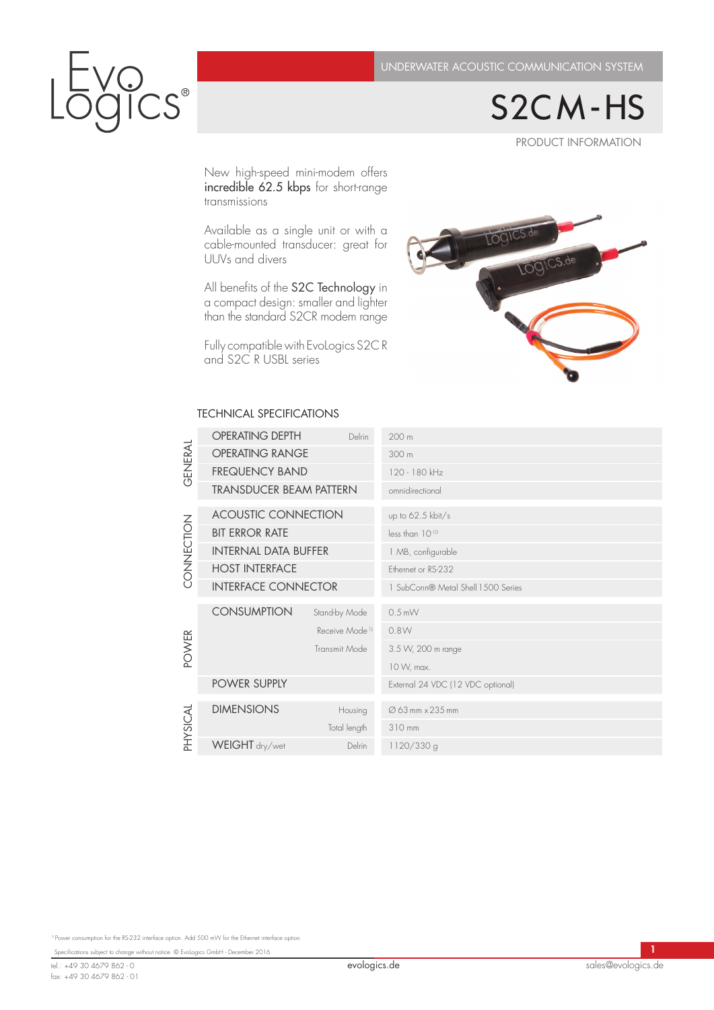PRODUCT INFORMATION S2C M - HS

New high-speed mini-modem offers incredible 62.5 kbps for short-range transmissions

 $S^{\circ}$ 

Available as a single unit or with a cable-mounted transducer: great for UUVs and divers

 $\frac{1}{2}$  than the standard S2CR-mod All benefits of the S2C Technology in a compact design: smaller and lighter than the standard S2CR modem range

Fully compatible with EvoLogics S2C R and S2C R USBL series



## TECHNICAL SPECIFICATIONS

|                                                                                                   | <b>GENERAL</b> | OPERATING DEPTH             | Delrin                     | 200 m                              |
|---------------------------------------------------------------------------------------------------|----------------|-----------------------------|----------------------------|------------------------------------|
|                                                                                                   |                | <b>OPERATING RANGE</b>      |                            | 300 m                              |
|                                                                                                   |                | <b>FREQUENCY BAND</b>       |                            | 120 - 180 kHz                      |
|                                                                                                   |                | TRANSDUCER BEAM PATTERN     |                            | omnidirectional                    |
|                                                                                                   | CONNECTION     | <b>ACOUSTIC CONNECTION</b>  |                            | up to 62.5 kbit/s                  |
|                                                                                                   |                | <b>BIT ERROR RATE</b>       |                            | less than 1010                     |
|                                                                                                   |                | <b>INTERNAL DATA BUFFER</b> |                            | 1 MB, configurable                 |
|                                                                                                   |                | <b>HOST INTERFACE</b>       |                            | Ethernet or RS-232                 |
|                                                                                                   |                | <b>INTERFACE CONNECTOR</b>  |                            | 1 SubConn® Metal Shell 1500 Series |
|                                                                                                   | POWER          | <b>CONSUMPTION</b>          | Stand-by Mode              | $0.5$ mVV                          |
|                                                                                                   |                |                             | Receive Mode <sup>11</sup> | 0.8W                               |
|                                                                                                   |                |                             | Transmit Mode              | 3.5 W, 200 m range                 |
|                                                                                                   |                |                             |                            | 10 W, max.                         |
|                                                                                                   |                | POWER SUPPLY                |                            | External 24 VDC (12 VDC optional)  |
|                                                                                                   | PHYSICAL       | <b>DIMENSIONS</b>           | Housing                    | Ø 63 mm × 235 mm                   |
|                                                                                                   |                |                             | Total length               | 310 mm                             |
|                                                                                                   |                | WEIGHT dry/wet              | Delrin                     | 1120/330 g                         |
|                                                                                                   |                |                             |                            |                                    |
|                                                                                                   |                |                             |                            |                                    |
| Power consumption for the RS-232 interface option. Add 500 mVV for the Ethernet interface option. |                |                             |                            |                                    |

<sup>1)</sup> Power consumption for the RS-232 interface option. Add 500 mW for the Ethernet interface op

Specifications subject to change without notice. © EvoLogics GmbH - December 2016